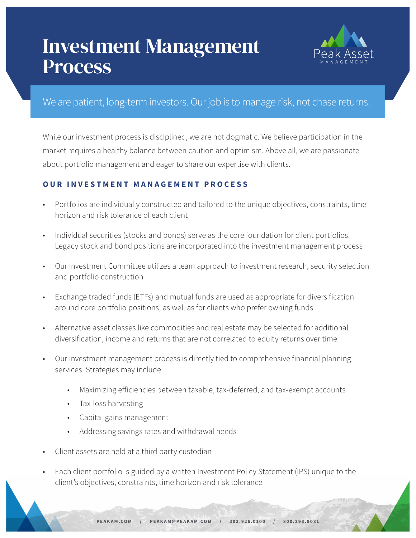## Investment Management Process



## We are patient, long-term investors. Our job is to manage risk, not chase returns.

While our investment process is disciplined, we are not dogmatic. We believe participation in the market requires a healthy balance between caution and optimism. Above all, we are passionate about portfolio management and eager to share our expertise with clients.

#### **OUR INVESTMENT MANAGEMENT PROCESS**

- Portfolios are individually constructed and tailored to the unique objectives, constraints, time horizon and risk tolerance of each client
- Individual securities (stocks and bonds) serve as the core foundation for client portfolios. Legacy stock and bond positions are incorporated into the investment management process
- Our Investment Committee utilizes a team approach to investment research, security selection and portfolio construction
- Exchange traded funds (ETFs) and mutual funds are used as appropriate for diversification around core portfolio positions, as well as for clients who prefer owning funds
- Alternative asset classes like commodities and real estate may be selected for additional diversification, income and returns that are not correlated to equity returns over time
- Our investment management process is directly tied to comprehensive financial planning services. Strategies may include:
	- Maximizing efficiencies between taxable, tax-deferred, and tax-exempt accounts
	- Tax-loss harvesting
	- Capital gains management
	- Addressing savings rates and withdrawal needs
- Client assets are held at a third party custodian
- Each client portfolio is guided by a written Investment Policy Statement (IPS) unique to the client's objectives, constraints, time horizon and risk tolerance